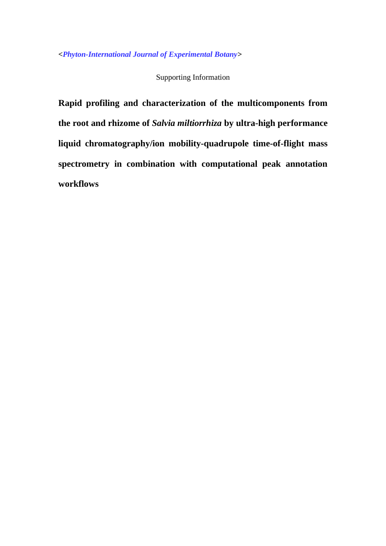**<***Phyton-International Journal of Experimental Botany***>**

Supporting Information

**Rapid profiling and characterization of the multicomponents from the root and rhizome of** *Salvia miltiorrhiza* **by ultra-high performance liquid chromatography/ion mobility-quadrupole time-of-flight mass spectrometry in combination with computational peak annotation workflows**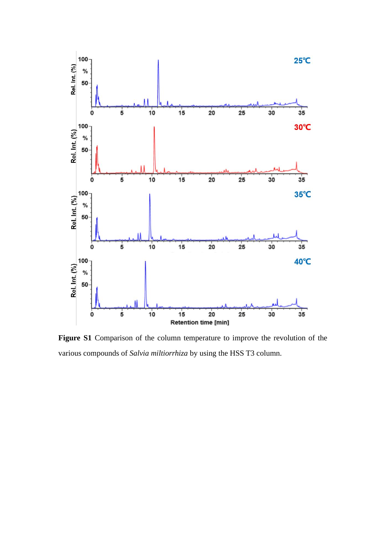

**Figure S1** Comparison of the column temperature to improve the revolution of the various compounds of *Salvia miltiorrhiza* by using the HSS T3 column.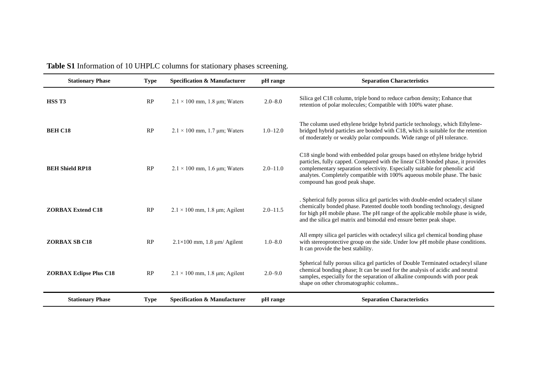| <b>Stationary Phase</b>        | <b>Type</b> | <b>Specification &amp; Manufacturer</b> | pH range     | <b>Separation Characteristics</b>                                                                                                                                                                                                                                                                                                                          |
|--------------------------------|-------------|-----------------------------------------|--------------|------------------------------------------------------------------------------------------------------------------------------------------------------------------------------------------------------------------------------------------------------------------------------------------------------------------------------------------------------------|
| HSS <sub>T3</sub>              | RP          | $2.1 \times 100$ mm, 1.8 µm; Waters     | $2.0 - 8.0$  | Silica gel C18 column, triple bond to reduce carbon density; Enhance that<br>retention of polar molecules; Compatible with 100% water phase.                                                                                                                                                                                                               |
| <b>BEH C18</b>                 | RP          | $2.1 \times 100$ mm, 1.7 µm; Waters     | $1.0 - 12.0$ | The column used ethylene bridge hybrid particle technology, which Ethylene-<br>bridged hybrid particles are bonded with C18, which is suitable for the retention<br>of moderately or weakly polar compounds. Wide range of pH tolerance.                                                                                                                   |
| <b>BEH Shield RP18</b>         | RP          | $2.1 \times 100$ mm, 1.6 µm; Waters     | $2.0 - 11.0$ | C18 single bond with embedded polar groups based on ethylene bridge hybrid<br>particles, fully capped. Compared with the linear C18 bonded phase, it provides<br>complementary separation selectivity. Especially suitable for phenolic acid<br>analytes. Completely compatible with 100% aqueous mobile phase. The basic<br>compound has good peak shape. |
| <b>ZORBAX Extend C18</b>       | RP          | $2.1 \times 100$ mm, 1.8 µm; Agilent    | $2.0 - 11.5$ | . Spherical fully porous silica gel particles with double-ended octadecyl silane<br>chemically bonded phase. Patented double tooth bonding technology, designed<br>for high pH mobile phase. The pH range of the applicable mobile phase is wide,<br>and the silica gel matrix and bimodal end ensure better peak shape.                                   |
| <b>ZORBAX SB C18</b>           | RP          | $2.1\times100$ mm, 1.8 $\mu$ m/ Agilent | $1.0 - 8.0$  | All empty silica gel particles with octadecyl silica gel chemical bonding phase<br>with stereoprotective group on the side. Under low pH mobile phase conditions.<br>It can provide the best stability.                                                                                                                                                    |
| <b>ZORBAX Eclipse Plus C18</b> | RP          | $2.1 \times 100$ mm, 1.8 µm; Agilent    | $2.0 - 9.0$  | Spherical fully porous silica gel particles of Double Terminated octadecyl silane<br>chemical bonding phase; It can be used for the analysis of acidic and neutral<br>samples, especially for the separation of alkaline compounds with poor peak<br>shape on other chromatographic columns                                                                |
| <b>Stationary Phase</b>        | <b>Type</b> | <b>Specification &amp; Manufacturer</b> | pH range     | <b>Separation Characteristics</b>                                                                                                                                                                                                                                                                                                                          |

| <b>Table S1</b> Information of 10 UHPLC columns for stationary phases screening. |  |
|----------------------------------------------------------------------------------|--|
|                                                                                  |  |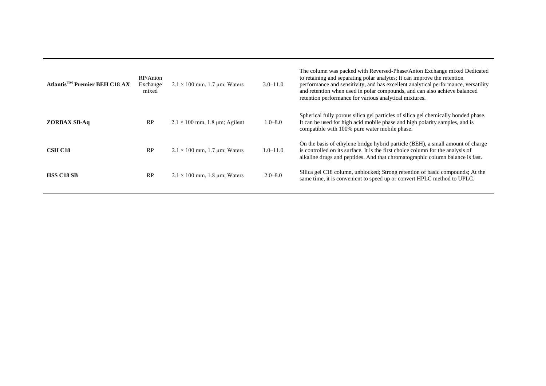| Atlantis <sup>TM</sup> Premier BEH C18 AX | RP/Anion<br>Exchange<br>mixed | $2.1 \times 100$ mm, 1.7 µm; Waters  | $3.0 - 11.0$ | The column was packed with Reversed-Phase/Anion Exchange mixed Dedicated<br>to retaining and separating polar analytes; It can improve the retention<br>performance and sensitivity, and has excellent analytical performance, versatility<br>and retention when used in polar compounds, and can also achieve balanced<br>retention performance for various analytical mixtures. |
|-------------------------------------------|-------------------------------|--------------------------------------|--------------|-----------------------------------------------------------------------------------------------------------------------------------------------------------------------------------------------------------------------------------------------------------------------------------------------------------------------------------------------------------------------------------|
| <b>ZORBAX SB-Aq</b>                       | RP                            | $2.1 \times 100$ mm, 1.8 µm; Agilent | $1.0 - 8.0$  | Spherical fully porous silica gel particles of silica gel chemically bonded phase.<br>It can be used for high acid mobile phase and high polarity samples, and is<br>compatible with 100% pure water mobile phase.                                                                                                                                                                |
| <b>CSH C18</b>                            | RP                            | $2.1 \times 100$ mm, 1.7 µm; Waters  | $1.0 - 11.0$ | On the basis of ethylene bridge hybrid particle (BEH), a small amount of charge<br>is controlled on its surface. It is the first choice column for the analysis of<br>alkaline drugs and peptides. And that chromatographic column balance is fast.                                                                                                                               |
| <b>HSS C18 SB</b>                         | RP                            | $2.1 \times 100$ mm, 1.8 µm; Waters  | $2.0 - 8.0$  | Silica gel C18 column, unblocked; Strong retention of basic compounds; At the<br>same time, it is convenient to speed up or convert HPLC method to UPLC.                                                                                                                                                                                                                          |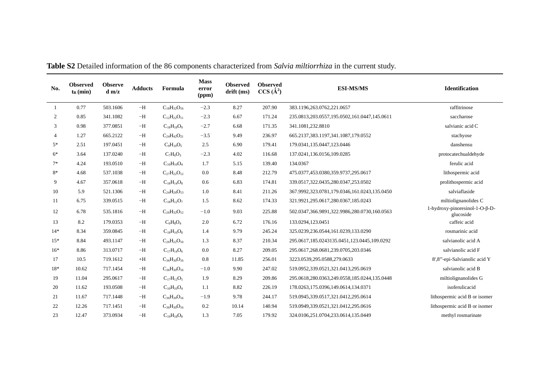| No.            | <b>Observed</b><br>$t_{R}$ (min) | <b>Observe</b><br>d m/z | <b>Adducts</b> | Formula              | <b>Mass</b><br>error<br>(ppm) | <b>Observed</b><br>drift(ms) | <b>Observed</b><br>$CCS (\AA^2)$ | <b>ESI-MS/MS</b>                             | <b>Identification</b>                       |  |
|----------------|----------------------------------|-------------------------|----------------|----------------------|-------------------------------|------------------------------|----------------------------------|----------------------------------------------|---------------------------------------------|--|
| -1             | 0.77                             | 503.1606                | $-H$           | $C_{18}H_{32}O_{16}$ | $-2.3$                        | 8.27                         | 207.90                           | 383.1196,263.0762,221.0657                   | raffitrinose                                |  |
| 2              | 0.85                             | 341.1082                | $-H$           | $C_{12}H_{22}O_{11}$ | $-2.3$                        | 6.67                         | 171.24                           | 235.0813,203.0557,195.0502,161.0447,145.0611 | saccharose                                  |  |
| 3              | 0.98                             | 377.0851                | $-H$           | $C_{18}H_{18}O_9$    | $-2.7$                        | 6.68                         | 171.35                           | 341.1081,232.8810                            | salvianic acid C                            |  |
| $\overline{4}$ | 1.27                             | 665.2122                | $-H$           | $C_{24}H_{42}O_{21}$ | $-3.5$                        | 9.49                         | 236.97                           | 665.2137,383.1197,341.1087,179.0552          | stachyose                                   |  |
| $5*$           | 2.51                             | 197.0451                | $-H$           | $C_9H_{10}O_5$       | 2.5                           | 6.90                         | 179.41                           | 179.0341,135.0447,123.0446                   | danshensu                                   |  |
| $6*$           | 3.64                             | 137.0240                | $-H$           | $C_7H_6O_3$          | $-2.3$                        | 4.02                         | 116.68                           | 137.0241,136.0156,109.0285                   | protocatechualdehyde                        |  |
| $7*$           | 4.24                             | 193.0510                | $-H$           | $C_{10}H_{10}O_4$    | 1.7                           | 5.15                         | 139.40                           | 134.0367                                     | ferulic acid                                |  |
| 8*             | 4.68                             | 537.1038                | $-H$           | $C_{27}H_{22}O_{12}$ | 0.0                           | 8.48                         | 212.79                           | 475.0377,453.0380,359.9737,295.0617          | lithospermic acid                           |  |
| 9              | 4.67                             | 357.0618                | $-H$           | $C_{18}H_{14}O_8$    | 0.6                           | 6.83                         | 174.81                           | 339.0517,322.0435,280.0347,253.0502          | prolithospermic acid                        |  |
| 10             | 5.9                              | 521.1306                | $-H$           | $C_{24}H_{26}O_{13}$ | 1.0                           | 8.41                         | 211.26                           | 367.9992,323.0781,179.0346,161.0243,135.0450 | salviaflaside                               |  |
| 11             | 6.75                             | 339.0515                | $-H$           | $C_{18}H_{12}O_7$    | 1.5                           | 8.62                         | 174.33                           | 321.9921,295.0617,280.0367,185.0243          | miltiolignanolides C                        |  |
| 12             | 6.78                             | 535.1816                | $-H$           | $C_{26}H_{32}O_{12}$ | $-1.0$                        | 9.03                         | 225.88                           | 502.0347,366.9891,322.9986,280.0730,160.0563 | 1-hydroxy-pinoresinol-1-O-β-D-<br>glucoside |  |
| 13             | 8.2                              | 179.0353                | $-H$           | $C_9H_8O_4$          | 2.0                           | 6.72                         | 176.16                           | 133.0294,123.0451                            | caffeic acid                                |  |
| $14*$          | 8.34                             | 359.0845                | $-H$           | $C_{18}H_{16}O_8$    | 1.4                           | 9.79                         | 245.24                           | 325.0239,236.0544,161.0239,133.0290          | rosmarinic acid                             |  |
| $15*$          | 8.84                             | 493.1147                | $-H$           | $C_{26}H_{22}O_{10}$ | 1.3                           | 8.37                         | 210.34                           | 295.0617,185.0243135.0451,123.0445,109.0292  | salvianolic acid A                          |  |
| $16*$          | 8.86                             | 313.0717                | $-H$           | $C_{17}H_{14}O_6$    | 0.0                           | 8.27                         | 209.05                           | 295.0617,268.0681,239.0705,203.0346          | salvianolic acid F                          |  |
| 17             | 10.5                             | 719.1612                | $+H$           | $C_{36}H_{30}O_{16}$ | 0.8                           | 11.85                        | 256.01                           | 3223.0539,295.0588,279.0633                  | 8',8"'-epi-Salvianolic acid Y               |  |
| 18*            | 10.62                            | 717.1454                | $-H$           | $C_{36}H_{30}O_{16}$ | $-1.0$                        | 9.90                         | 247.02                           | 519.0952,339.0521,321.0413,295.0619          | salvianolic acid B                          |  |
| 19             | 11.04                            | 295.0617                | $-H$           | $C_{17}H_{12}O_5$    | 1.9                           | 8.29                         | 209.86                           | 295.0618,280.0363,249.0558,185.0244,135.0448 | miltiolignanolides G                        |  |
| 20             | 11.62                            | 193.0508                | $-H$           | $C_{10}H_{10}O_4$    | 1.1                           | 8.82                         | 226.19                           | 178.0263,175.0396,149.0614,134.0371          | isoferulicacid                              |  |
| 21             | 11.67                            | 717.1448                | $-H$           | $C_{36}H_{30}O_{16}$ | $-1.9$                        | 9.78                         | 244.17                           | 519.0945,339.0517,321.0412,295.0614          | lithospermic acid B or isomer               |  |
| 22             | 12.26                            | 717.1451                | $-H$           | $C_{36}H_{30}O_{16}$ | 0.2                           | 10.14                        | 140.94                           | 519.0949,339.0521,321.0412,295.0616          | lithospermic acid B or isomer               |  |
| 23             | 12.47                            | 373.0934                | $-H$           | $C_{19}H_{18}O_8$    | 1.3                           | 7.05                         | 179.92                           | 324.0106,251.0704,233.0614,135.0449          | methyl rosmarinate                          |  |

**Table S2** Detailed information of the 86 components characterized from *Salvia miltiorrhiza* in the current study.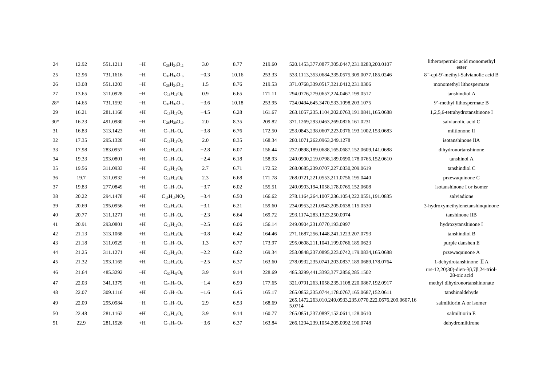| 24    | 12.92 | 551.1211 | $-H$ | $C_{28}H_{24}O_{12}$ | 3.0    | 8.77  | 219.60 | 520.1453,377.0877,305.0447,231.0283,200.0107                      | litherospermic acid monomethyl<br>ester                              |
|-------|-------|----------|------|----------------------|--------|-------|--------|-------------------------------------------------------------------|----------------------------------------------------------------------|
| 25    | 12.96 | 731.1616 | $-H$ | $C_{37}H_{32}O_{16}$ | $-0.3$ | 10.16 | 253.33 | 533.1113,353.0684,335.0575,309.0077,185.0246                      | 8"'-epi-9'-methyl-Salvianolic acid B                                 |
| 26    | 13.08 | 551.1203 | $-H$ | $C_{28}H_{24}O_{12}$ | 1.5    | 8.76  | 219.53 | 371.0768,339.0517,321.0412,231.0306                               | monomethyl lithospermate                                             |
| 27    | 13.65 | 311.0928 | $-H$ | $C_{18}H_{16}O_5$    | 0.9    | 6.65  | 171.11 | 294.0776,279.0657,224.0467,199.0517                               | tanshindiol A                                                        |
| $28*$ | 14.65 | 731.1592 | $-H$ | $C_{37}H_{32}O_{16}$ | $-3.6$ | 10.18 | 253.95 | 724.0494,645.3470,533.1098,203.1075                               | 9'-methyl lithospermate B                                            |
| 29    | 16.21 | 281.1160 | $+H$ | $C_{18}H_{16}O_3$    | $-4.5$ | 6.28  | 161.67 | 263.1057,235.1104,202.0763,191.0841,165.0688                      | 1,2,5,6-tetrahydrotanshinone I                                       |
| $30*$ | 16.23 | 491.0980 | $-H$ | $C_{26}H_{20}O_{10}$ | 2.0    | 8.35  | 209.82 | 371.1269,293.0463,269.0826,161.0231                               | salvianolic acid C                                                   |
| 31    | 16.83 | 313.1423 | $+H$ | $C_{19}H_{20}O_4$    | $-3.8$ | 6.76  | 172.50 | 253.0843,238.0607,223.0376,193.1002,153.0683                      | miltionone II                                                        |
| 32    | 17.35 | 295.1320 | $+H$ | $C_{19}H_{18}O_3$    | 2.0    | 8.35  | 168.34 | 280.1071,262.0963,249.1278                                        | isotanshinone IIA                                                    |
| 33    | 17.98 | 283.0957 | $+H$ | $C_{17}H_{14}O_4$    | $-2.8$ | 6.07  | 156.44 | 237.0898,189.0688,165.0687,152.0609,141.0688                      | dihydronortanshinone                                                 |
| 34    | 19.33 | 293.0801 | $+H$ | $C_{18}H_{12}O_4$    | $-2.4$ | 6.18  | 158.93 | 249.0900,219.0798,189.0690,178.0765,152.0610                      | tanshinol A                                                          |
| 35    | 19.56 | 311.0933 | $-H$ | $C_{18}H_{16}O_5$    | 2.7    | 6.71  | 172.52 | 268.0685,239.0707,227.0330,209.0619                               | tanshindiol C                                                        |
| 36    | 19.7  | 311.0932 | $-H$ | $C_{18}H_{16}O_5$    | 2.3    | 6.68  | 171.78 | 268.0721,221.0553,211.0756,195.0440                               | przewaquinone C                                                      |
| 37    | 19.83 | 277.0849 | $+H$ | $C_{18}H_{12}O_3$    | $-3.7$ | 6.02  | 155.51 | 249.0903,194.1058,178.0765,152.0608                               | isotanshinone I or isomer                                            |
| 38    | 20.22 | 294.1478 | $+H$ | $C_{19}H_{19}NO_2$   | $-3.4$ | 6.50  | 166.62 | 278.1164,264.1007,236.1054,222.0551,191.0835                      | salviadione                                                          |
| 39    | 20.69 | 295.0956 | $+H$ | $C_{18}H_{14}O_4$    | $-3.1$ | 6.21  | 159.60 | 234.0953,221.0943,205.0638,115.0530                               | 3-hydroxymethylenetanshinguinone                                     |
| 40    | 20.77 | 311.1271 | $+H$ | $C_{19}H_{18}O_4$    | $-2.3$ | 6.64  | 169.72 | 293.1174,283.1323,250.0974                                        | tanshinone IIB                                                       |
| 41    | 20.91 | 293.0801 | $+H$ | $C_{18}H_{12}O_4$    | $-2.5$ | 6.06  | 156.14 | 249.0904,231.0770,193.0997                                        | hydroxytanshinone I                                                  |
| 42    | 21.13 | 313.1068 | $+H$ | $C_{18}H_{16}O_5$    | $-0.8$ | 6.42  | 164.46 | 271.1687,256.1448,241.1223,207.0793                               | tanshindiol B                                                        |
| 43    | 21.18 | 311.0929 | $-H$ | $C_{18}H_{16}O_5$    | 1.3    | 6.77  | 173.97 | 295.0608,211.1041,199.0766,185.0623                               | purple danshen E                                                     |
| 44    | 21.25 | 311.1271 | $+H$ | $C_{19}H_{18}O_4$    | $-2.2$ | 6.62  | 169.34 | 253.0848,237.0895,223.0742,179.0834,165.0688                      | przewaquinone A                                                      |
| 45    | 21.32 | 293.1165 | $+H$ | $C_{19}H_{16}O_3$    | $-2.5$ | 6.37  | 163.60 | 278.0932,235.0741,203.0837,189.0689,178.0764                      | 1-dehydrotanshinone II A                                             |
| 46    | 21.64 | 485.3292 | $-H$ | $C_{30}H_{46}O_5$    | 3.9    | 9.14  | 228.69 | 485.3299,441.3393,377.2856,285.1502                               | $urs-12,20(30)$ -dien-3 $\beta$ ,7 $\beta$ ,24-triol-<br>28-oic acid |
| 47    | 22.03 | 341.1379 | $+H$ | $C_{20}H_{20}O_5$    | $-1.4$ | 6.99  | 177.65 | 321.0791,263.1058,235.1108,220.0867,192.0917                      | methyl dihydronortanshinonate                                        |
| 48    | 22.07 | 309.1116 | $+H$ | $C_{19}H_{16}O_4$    | $-1.6$ | 6.45  | 165.17 | 265.0852,235.0744,178.0767,165.0687,152.0611                      | tanshinaldehyde                                                      |
| 49    | 22.09 | 295.0984 | $-H$ | $C_{18}H_{16}O_4$    | 2.9    | 6.53  | 168.69 | 265.1472,263.010,249.0933,235.0770,222.0676,209.0607,16<br>5.0714 | salmiltiorin A or isomer                                             |
| 50    | 22.48 | 281.1162 | $+H$ | $C_{18}H_{16}O_3$    | 3.9    | 9.14  | 160.77 | 265.0851,237.0897,152.0611,128.0610                               | salmiltiorin E                                                       |
| 51    | 22.9  | 281.1526 | $+H$ | $C_{19}H_{20}O_2$    | $-3.6$ | 6.37  | 163.84 | 266.1294,239.1054,205.0992,190.0748                               | dehydromiltirone                                                     |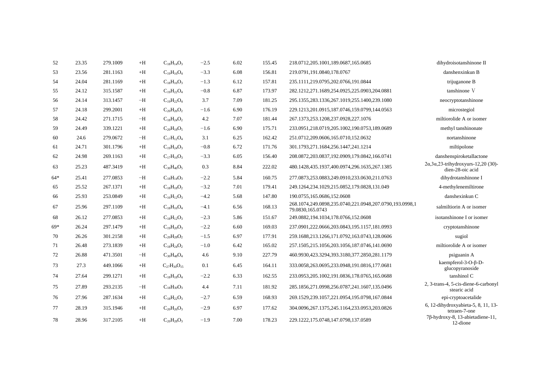| 52    | 23.35 | 279.1009 | $+H$ | $C_{18}H_{14}O_3$    | $-2.5$ | 6.02 | 155.45 | 218.0712,205.1001,189.0687,165.0685                                         | dihydroisotanshinone II                                               |
|-------|-------|----------|------|----------------------|--------|------|--------|-----------------------------------------------------------------------------|-----------------------------------------------------------------------|
| 53    | 23.56 | 281.1163 | $+H$ | $C_{19}H_{16}O_4$    | $-3.3$ | 6.08 | 156.81 | 219.0791,191.0840,178.0767                                                  | danshenxinkun B                                                       |
| 54    | 24.04 | 281.1169 | $+H$ | $C_{18}H_{16}O_3$    | $-1.3$ | 6.12 | 157.81 | 235.1111,219.0795,202.0766,191.0844                                         | trijuganone B                                                         |
| 55    | 24.12 | 315.1587 | $+H$ | $C_{19}H_{22}O_4$    | $-0.8$ | 6.87 | 173.97 | 282.1212,271.1689,254.0925,225.0903,204.0881                                | tanshinone V                                                          |
| 56    | 24.14 | 313.1457 | $-H$ | $C_{19}H_{22}O_4$    | 3.7    | 7.09 | 181.25 | 295.1355, 283.1336, 267.1019, 255.1400, 239.1080                            | neocryptotanshinone                                                   |
| 57    | 24.18 | 299.2001 | $+H$ | $C_{20}H_{26}O_2$    | $-1.6$ | 6.90 | 176.19 | 229.1213,201.0915,187.0746,159.0799,144.0563                                | microstegiol                                                          |
| 58    | 24.42 | 271.1715 | $-H$ | $C_{18}H_{24}O_2$    | 4.2    | 7.07 | 181.44 | 267.1373,253.1208,237.0928,227.1076                                         | miltiorolide A or isomer                                              |
| 59    | 24.49 | 339.1221 | $+H$ | $C_{20}H_{18}O_5$    | $-1.6$ | 6.90 | 175.71 | 233.0951,218.0719,205.1002,190.0753,189.0689                                | methyl tanshinonate                                                   |
| 60    | 24.6  | 279.0672 | $-H$ | $C_{17}H_{12}O_4$    | 3.1    | 6.25 | 162.42 | 251.0712,209.0606,165.0710,152.0632                                         | nortanshinone                                                         |
| 61    | 24.71 | 301.1796 | $+H$ | $C_{19}H_{24}O_3$    | $-0.8$ | 6.72 | 171.76 | 301.1793,271.1684,256.1447,241.1214                                         | miltipolone                                                           |
| 62    | 24.98 | 269.1163 | $+H$ | $C_{17}H_{16}O_3$    | $-3.3$ | 6.05 | 156.40 | 208.0872,203.0837,192.0909,179.0842,166.0741                                | danshenspiroketallactone                                              |
| 63    | 25.23 | 487.3419 | $+H$ | $C_{30}H_{46}O_5$    | 0.3    | 8.84 | 222.02 | 480.1428,435.1937,400.0974,296.1635,267.1385                                | $2\alpha, 3\alpha, 23$ -trihydroxyurs-12,20 (30)-<br>dien-28-oic acid |
| $64*$ | 25.41 | 277.0853 | $-H$ | $C_{18}H_{14}O_3$    | $-2.2$ | 5.84 | 160.75 | 277.0873,253.0883,249.0910,233.0630,211.0763                                | dihydrotanshinone I                                                   |
| 65    | 25.52 | 267.1371 | $+H$ | $C_{18}H_{18}O_2$    | $-3.2$ | 7.01 | 179.41 | 249.1264,234.1029,215.0852,179.0828,131.049                                 | 4-methylenemiltirone                                                  |
| 66    | 25.93 | 253.0849 | $+H$ | $C_{16}H_{12}O_3$    | $-4.2$ | 5.68 | 147.80 | 190.0755,165.0686,152.0608                                                  | danshexinkun C                                                        |
| 67    | 25.96 | 297.1109 | $+H$ | $C_{18}H_{16}O_4$    | $-4.1$ | 6.56 | 168.13 | 268.1074,249.0898,235.0740,221.0948,207.0790,193.0998,1<br>79.0830,165.0743 | salmiltiorin A or isomer                                              |
| 68    | 26.12 | 277.0853 | $+H$ | $C_{18}H_{12}O_3$    | $-2.3$ | 5.86 | 151.67 | 249.0882,194.1034,178.0766,152.0608                                         | isotanshinone I or isomer                                             |
| $69*$ | 26.24 | 297.1479 | $+H$ | $C_{19}H_{20}O_3$    | $-2.2$ | 6.60 | 169.03 | 237.0901,222.0666,203.0843,195.1157,181.0993                                | cryptotanshinone                                                      |
| 70    | 26.26 | 301.2158 | $+H$ | $C_{20}H_{28}O_2$    | $-1.5$ | 6.97 | 177.91 | 259.1688,213.1266,171.0792,163.0743,128.0606                                | sugiol                                                                |
| 71    | 26.48 | 273.1839 | $+H$ | $C_{18}H_{24}O_2$    | $-1.0$ | 6.42 | 165.02 | 257.1505,215.1056,203.1056,187.0746,141.0690                                | miltiorolide A or isomer                                              |
| 72    | 26.88 | 471.3501 | $-H$ | $C_{30}H_{48}O_4$    | 4.6    | 9.10 | 227.79 | 460.9930,423.3294,393.3180,377.2850,281.1179                                | psiguanin A                                                           |
| 73    | 27.3  | 449.1066 | $+H$ | $C_{27}H_{30}O_{15}$ | 0.1    | 6.45 | 164.11 | 333.0058,263.0695,233.0948,191.0816,177.0681                                | kaempferol-3-O-β-D-<br>glucopyranoside                                |
| 74    | 27.64 | 299.1271 | $+H$ | $C_{18}H_{18}O_4$    | $-2.2$ | 6.33 | 162.55 | 233.0953,205.1002,191.0836,178.0765,165.0688                                | tanshinol C                                                           |
| 75    | 27.89 | 293.2135 | $-H$ | $C_{18}H_{30}O_3$    | 4.4    | 7.11 | 181.92 | 285.1856,271.0998,256.0787,241.1607,135.0496                                | 2, 3-trans-4, 5-cis-diene-6-carbonyl<br>stearic acid                  |
| 76    | 27.96 | 287.1634 | $+H$ | $C_{18}H_{22}O_3$    | $-2.7$ | 6.59 | 168.93 | 269.1529.239.1057.221.0954.195.0798.167.0844                                | epi-cryptoacetalide                                                   |
|       |       |          |      |                      | $-2.9$ | 6.97 | 177.62 | 304.0096,267.1375,245.1164,233.0953,203.0826                                | 6, 12-dihydroxyabieta-5, 8, 11, 13-                                   |
| 77    | 28.19 | 315.1946 | $+H$ | $C_{20}H_{26}O_3$    |        |      |        |                                                                             | tetraen-7-one<br>7β-hydroxy-8, 13-abietadiene-11,                     |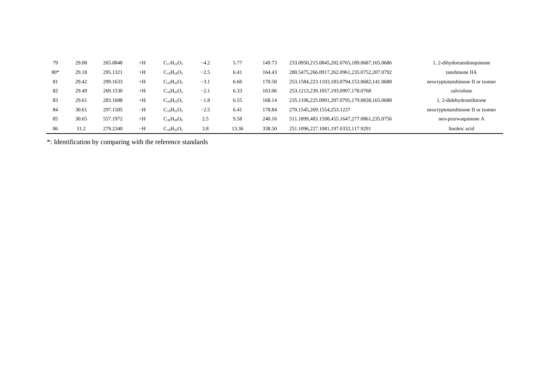| 79    | 29.08 | 265.0848 | $+H$ | $C_{17}H_{12}O_3$ | $-4.2$ | 5.77  | 149.73 | 233.0950,215.0845,202.0765,189.0687,165.0686 | 1, 2-dihydortanshinquinone       |
|-------|-------|----------|------|-------------------|--------|-------|--------|----------------------------------------------|----------------------------------|
| $80*$ | 29.18 | 295.1321 | $+H$ | $C_{19}H_{18}O_3$ | $-2.5$ | 6.41  | 164.43 | 280.5475,266.0917,262.0961,235.0752,207.0792 | tanshinone IIA                   |
| - 81  | 29.42 | 299.1633 | $+H$ | $C_{19}H_{22}O_3$ | $-3.1$ | 6.66  | 170.50 | 253.1584,223.1103,183.0794,153.0682,141.0688 | neocryptotanshinone II or isomer |
| 82    | 29.49 | 269.1530 | $+H$ | $C_{18}H_{20}O_2$ | $-2.1$ | 6.33  | 163.06 | 253.1213,239.1057,193.0997,178.0768          | salviolone                       |
| 83    | 29.61 | 283.1688 | $+H$ | $C_{19}H_{22}O_2$ | $-1.8$ | 6.55  | 168.14 | 235.1106,225.0901,207.0795,179.0838,165.0688 | 2-didehydromiltirone             |
| 84    | 30.61 | 297.1505 | $-H$ | $C_{19}H_{22}O_3$ | $-2.5$ | 6.41  | 178.84 | 270.1545,269.1554,253.1237                   | neocryptotanshinone II or isomer |
| 85    | 30.65 | 557.1972 | $+H$ | $C_{36}H_{28}O_6$ | 2.5    | 9.58  | 240.16 | 511.1899,483.1598,455.1647,277.0861,235.0756 | neo-przewaquinone A              |
| 86    | 31.2  | 279.2340 | $-H$ | $C_{18}H_{32}O_2$ | 3.8    | 13.36 | 338.50 | 251.1096,227.1081,197.0332,117.9291          | linoleic acid                    |

\*: Identification by comparing with the reference standards